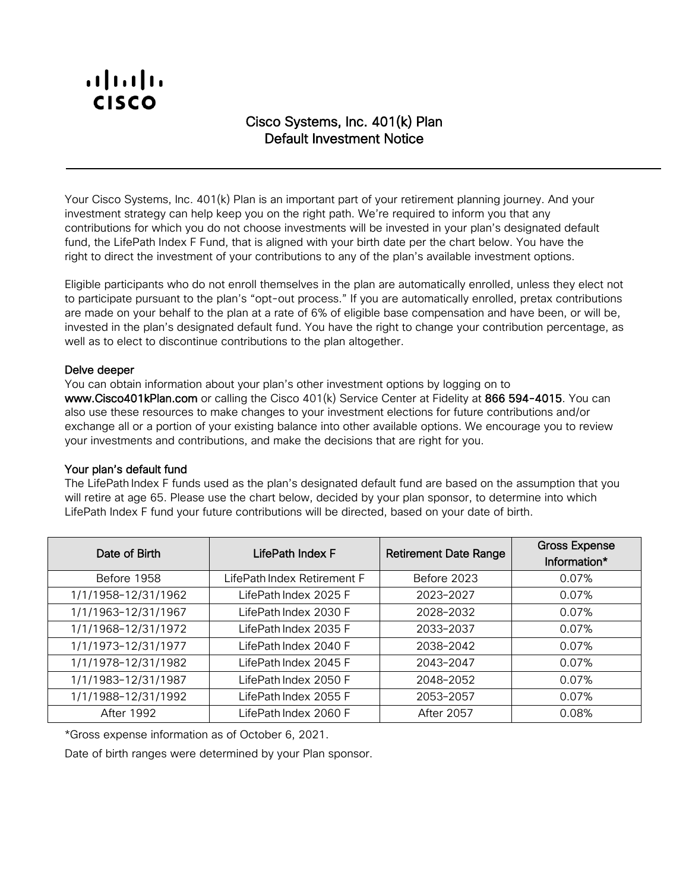# Cisco Systems, Inc. 401(k) Plan Default Investment Notice

Your Cisco Systems, Inc. 401(k) Plan is an important part of your retirement planning journey. And your investment strategy can help keep you on the right path. We're required to inform you that any contributions for which you do not choose investments will be invested in your plan's designated default fund, the LifePath Index F Fund, that is aligned with your birth date per the chart below. You have the right to direct the investment of your contributions to any of the plan's available investment options.

Eligible participants who do not enroll themselves in the plan are automatically enrolled, unless they elect not to participate pursuant to the plan's "opt-out process." If you are automatically enrolled, pretax contributions are made on your behalf to the plan at a rate of 6% of eligible base compensation and have been, or will be, invested in the plan's designated default fund. You have the right to change your contribution percentage, as well as to elect to discontinue contributions to the plan altogether.

#### Delve deeper

You can obtain information about your plan's other investment options by logging on to www.Cisco401kPlan.com or calling the Cisco 401(k) Service Center at Fidelity at 866 594-4015. You can also use these resources to make changes to your investment elections for future contributions and/or exchange all or a portion of your existing balance into other available options. We encourage you to review your investments and contributions, and make the decisions that are right for you.

#### Your plan's default fund

The LifePath Index F funds used as the plan's designated default fund are based on the assumption that you will retire at age 65. Please use the chart below, decided by your plan sponsor, to determine into which LifePath Index F fund your future contributions will be directed, based on your date of birth.

| Date of Birth       | LifePath Index F            | <b>Retirement Date Range</b> | <b>Gross Expense</b><br>Information* |
|---------------------|-----------------------------|------------------------------|--------------------------------------|
| Before 1958         | LifePath Index Retirement F | Before 2023                  | 0.07%                                |
| 1/1/1958-12/31/1962 | LifePath Index 2025 F       | 2023-2027                    | 0.07%                                |
| 1/1/1963-12/31/1967 | LifePath Index 2030 F       | 2028-2032                    | 0.07%                                |
| 1/1/1968-12/31/1972 | LifePath Index 2035 F       | 2033-2037                    | 0.07%                                |
| 1/1/1973-12/31/1977 | LifePath Index 2040 F       | 2038-2042                    | 0.07%                                |
| 1/1/1978-12/31/1982 | LifePath Index 2045 F       | 2043-2047                    | 0.07%                                |
| 1/1/1983-12/31/1987 | LifePath Index 2050 F       | 2048-2052                    | 0.07%                                |
| 1/1/1988-12/31/1992 | LifePath Index 2055 F       | 2053-2057                    | 0.07%                                |
| After 1992          | LifePath Index 2060 F       | <b>After 2057</b>            | 0.08%                                |

\*Gross expense information as of October 6, 2021.

Date of birth ranges were determined by your Plan sponsor.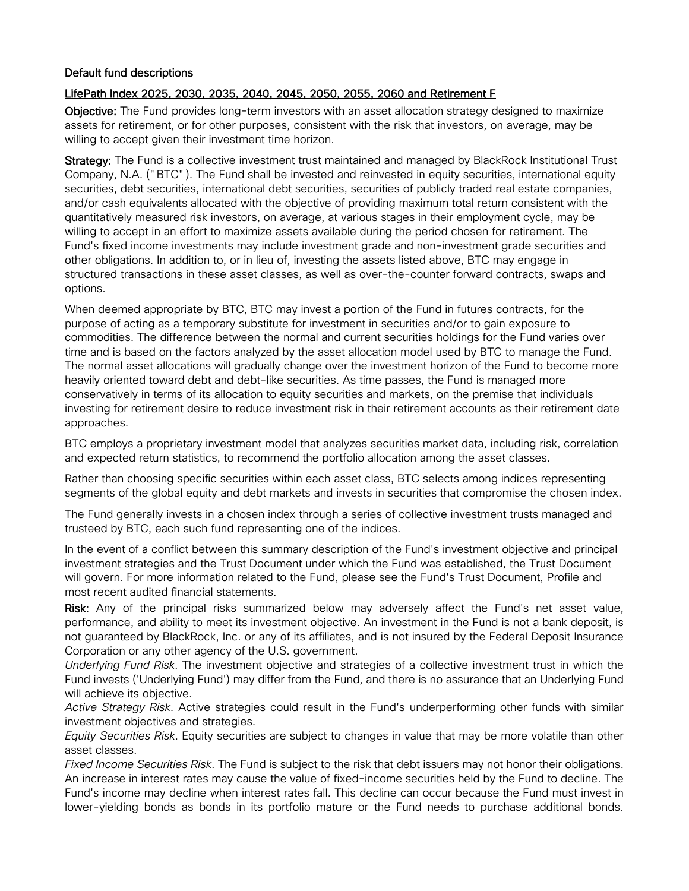## Default fund descriptions

## LifePath Index 2025, 2030, 2035, 2040, 2045, 2050, 2055, 2060 and Retirement F

Objective: The Fund provides long-term investors with an asset allocation strategy designed to maximize assets for retirement, or for other purposes, consistent with the risk that investors, on average, may be willing to accept given their investment time horizon.

Strategy: The Fund is a collective investment trust maintained and managed by BlackRock Institutional Trust Company, N.A. ("BTC"). The Fund shall be invested and reinvested in equity securities, international equity securities, debt securities, international debt securities, securities of publicly traded real estate companies, and/or cash equivalents allocated with the objective of providing maximum total return consistent with the quantitatively measured risk investors, on average, at various stages in their employment cycle, may be willing to accept in an effort to maximize assets available during the period chosen for retirement. The Fund's fixed income investments may include investment grade and non-investment grade securities and other obligations. In addition to, or in lieu of, investing the assets listed above, BTC may engage in structured transactions in these asset classes, as well as over-the-counter forward contracts, swaps and options.

When deemed appropriate by BTC, BTC may invest a portion of the Fund in futures contracts, for the purpose of acting as a temporary substitute for investment in securities and/or to gain exposure to commodities. The difference between the normal and current securities holdings for the Fund varies over time and is based on the factors analyzed by the asset allocation model used by BTC to manage the Fund. The normal asset allocations will gradually change over the investment horizon of the Fund to become more heavily oriented toward debt and debt-like securities. As time passes, the Fund is managed more conservatively in terms of its allocation to equity securities and markets, on the premise that individuals investing for retirement desire to reduce investment risk in their retirement accounts as their retirement date approaches.

BTC employs a proprietary investment model that analyzes securities market data, including risk, correlation and expected return statistics, to recommend the portfolio allocation among the asset classes.

Rather than choosing specific securities within each asset class, BTC selects among indices representing segments of the global equity and debt markets and invests in securities that compromise the chosen index.

The Fund generally invests in a chosen index through a series of collective investment trusts managed and trusteed by BTC, each such fund representing one of the indices.

In the event of a conflict between this summary description of the Fund's investment objective and principal investment strategies and the Trust Document under which the Fund was established, the Trust Document will govern. For more information related to the Fund, please see the Fund's Trust Document, Profile and most recent audited financial statements.

Risk: Any of the principal risks summarized below may adversely affect the Fund's net asset value, performance, and ability to meet its investment objective. An investment in the Fund is not a bank deposit, is not guaranteed by BlackRock, Inc. or any of its affiliates, and is not insured by the Federal Deposit Insurance Corporation or any other agency of the U.S. government.

*Underlying Fund Risk*. The investment objective and strategies of a collective investment trust in which the Fund invests ('Underlying Fund') may differ from the Fund, and there is no assurance that an Underlying Fund will achieve its objective.

*Active Strategy Risk*. Active strategies could result in the Fund's underperforming other funds with similar investment objectives and strategies.

*Equity Securities Risk*. Equity securities are subject to changes in value that may be more volatile than other asset classes.

*Fixed Income Securities Risk*. The Fund is subject to the risk that debt issuers may not honor their obligations. An increase in interest rates may cause the value of fixed-income securities held by the Fund to decline. The Fund's income may decline when interest rates fall. This decline can occur because the Fund must invest in lower-yielding bonds as bonds in its portfolio mature or the Fund needs to purchase additional bonds.